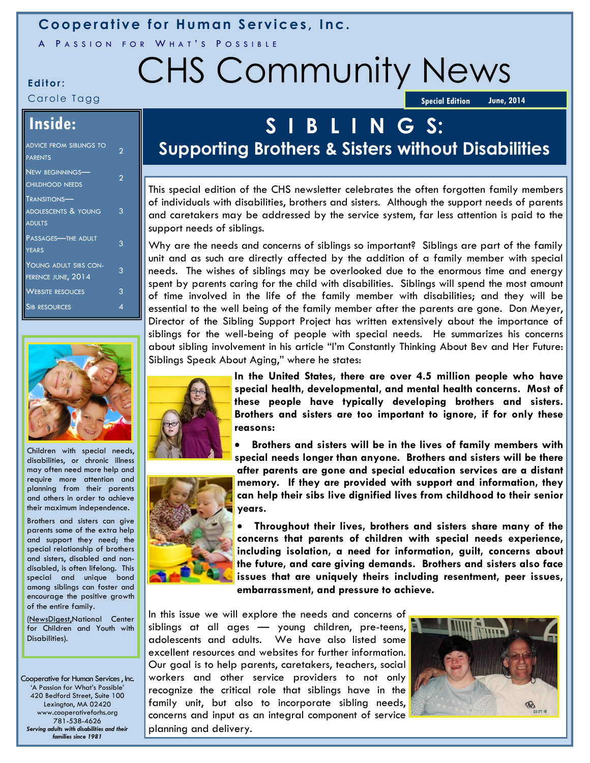### **Cooperative for Human Services, Inc.**

A PASSION FOR WHAT'S POSSIBLE

# **Editor:** CHS Community News

Carole Tagg

**Special Edition 50 June, 2014** 

### **Inside:**

| <b>ADVICE FROM SIBLINGS TO</b><br><b>PARENTS</b>                       | っ |
|------------------------------------------------------------------------|---|
| NEW BEGINNINGS-<br><b>CHILDHOOD NEEDS</b>                              | っ |
| <b>TRANSITIONS—</b><br><b>ADOLESCENTS &amp; YOUNG</b><br><b>ADULTS</b> | 3 |
| Passages—The adult<br><b>YEARS</b>                                     | 3 |
| YOUNG ADULT SIBS CON-<br>FERENCE JUNE, 2014                            | 3 |
| <b>WEBSITE RESOUCES</b>                                                | 3 |
| <b>SIB RESOURCES</b>                                                   | Δ |



Children with special needs, disabilities, or chronic illness may often need more help and require more attention and planning from their parents and others in order to achieve their maximum independence.

Brothers and sisters can give parents some of the extra help and support they need; the special relationship of brothers and sisters, disabled and nondisabled, is often lifelong. This special and unique bond among siblings can foster and encourage the positive growth of the entire family.

(NewsDigest,National Center for Children and Youth with Disabilities).

Cooperative for Human Services , Inc. 'A Passion for What's Possible' 420 Bedford Street, Suite 100 Lexington, MA 02420 www.cooperativeforhs.org 781-538-4626 *Serving adults with disabilities and their families since 1981* 

# **S I B L I N G S:**

## **Supporting Brothers & Sisters without Disabilities**

This special edition of the CHS newsletter celebrates the often forgotten family members of individuals with disabilities, brothers and sisters. Although the support needs of parents and caretakers may be addressed by the service system, far less attention is paid to the support needs of siblings.

Why are the needs and concerns of siblings so important? Siblings are part of the family unit and as such are directly affected by the addition of a family member with special needs. The wishes of siblings may be overlooked due to the enormous time and energy spent by parents caring for the child with disabilities. Siblings will spend the most amount of time involved in the life of the family member with disabilities; and they will be essential to the well being of the family member after the parents are gone. Don Meyer, Director of the Sibling Support Project has written extensively about the importance of siblings for the well-being of people with special needs. He summarizes his concerns about sibling involvement in his article "I'm Constantly Thinking About Bev and Her Future: Siblings Speak About Aging," where he states:





**In the United States, there are over 4.5 million people who have special health, developmental, and mental health concerns. Most of these people have typically developing brothers and sisters. Brothers and sisters are too important to ignore, if for only these reasons:**

 **Brothers and sisters will be in the lives of family members with special needs longer than anyone. Brothers and sisters will be there after parents are gone and special education services are a distant** 

**memory. If they are provided with support and information, they can help their sibs live dignified lives from childhood to their senior years.**

 **Throughout their lives, brothers and sisters share many of the concerns that parents of children with special needs experience, including isolation, a need for information, guilt, concerns about the future, and care giving demands. Brothers and sisters also face issues that are uniquely theirs including resentment, peer issues, embarrassment, and pressure to achieve.**

In this issue we will explore the needs and concerns of siblings at all ages — young children, pre-teens, adolescents and adults. We have also listed some excellent resources and websites for further information. Our goal is to help parents, caretakers, teachers, social workers and other service providers to not only recognize the critical role that siblings have in the family unit, but also to incorporate sibling needs, concerns and input as an integral component of service planning and delivery.

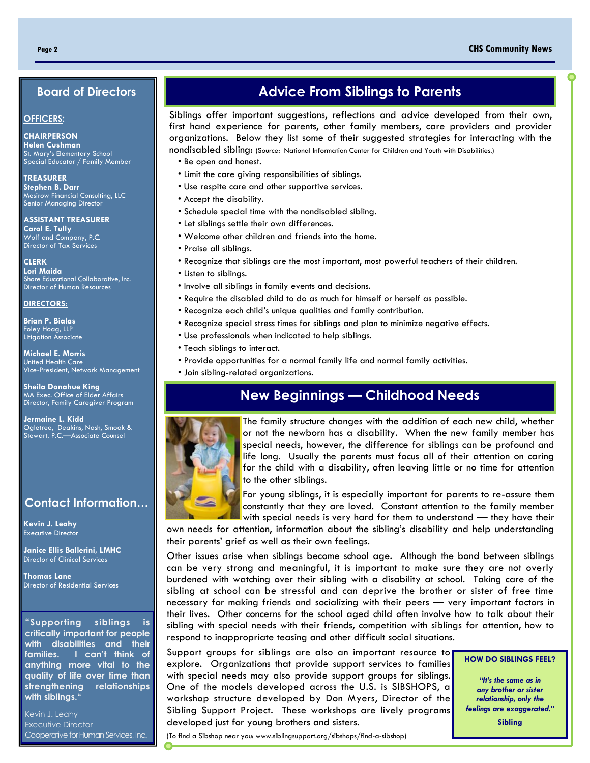#### <span id="page-1-0"></span>**Page 2 CHS Community News**

#### **Board of Directors**

#### **OFFICERS:**

**CHAIRPERSON Helen Cushman** St. Mary's Elementary School Special Educator / Family Member

**TREASURER Stephen B. Darr** Mesirow Financial Consulting, LLC Senior Managing Director

**ASSISTANT TREASURER Carol E. Tully** Wolf and Company, P.C. Director of Tax Services

**CLERK Lori Maida** Shore Educational Collaborative, Inc. Director of Human Resources

#### **DIRECTORS:**

**Brian P. Bialas** Foley Hoag, LLP Litigation Associate

**Michael E. Morris** United Health Care Vice-President, Network Management

**Sheila Donahue King** MA Exec. Office of Elder Affairs Director, Family Caregiver Program

**Jermaine L. Kidd** Ogletree, Deakins, Nash, Smoak & Stewart. P.C.—Associate Counsel

#### **Contact Information…**

**Kevin J. Leahy** Executive Director

**Janice Ellis Ballerini, LMHC**  Director of Clinical Services

**Thomas Lane** Director of Residential Services

**"Supporting siblings is critically important for people with disabilities and their families. I can't think of anything more vital to the quality of life over time than strengthening relationships with siblings."**

Kevin J. Leahy Executive Director Cooperative for Human Services, Inc.

### **Advice From Siblings to Parents**

Siblings offer important suggestions, reflections and advice developed from their own, first hand experience for parents, other family members, care providers and provider organizations. Below they list some of their suggested strategies for interacting with the nondisabled sibling: (Source: National Information Center for Children and Youth with Disabilities.)

- Be open and honest.
- Limit the care giving responsibilities of siblings.
- Use respite care and other supportive services.
- Accept the disability.
- Schedule special time with the nondisabled sibling.
- Let siblings settle their own differences.
- Welcome other children and friends into the home.
- Praise all siblings.
- Recognize that siblings are the most important, most powerful teachers of their children.
- Listen to siblings.
- Involve all siblings in family events and decisions.
- Require the disabled child to do as much for himself or herself as possible.
- Recognize each child's unique qualities and family contribution.
- Recognize special stress times for siblings and plan to minimize negative effects.
- Use professionals when indicated to help siblings.
- Teach siblings to interact.
- Provide opportunities for a normal family life and normal family activities.
- Join sibling-related organizations.

### **New Beginnings — Childhood Needs**



The family structure changes with the addition of each new child, whether or not the newborn has a disability. When the new family member has special needs, however, the difference for siblings can be profound and life long. Usually the parents must focus all of their attention on caring for the child with a disability, often leaving little or no time for attention to the other siblings.



For young siblings, it is especially important for parents to re-assure them constantly that they are loved. Constant attention to the family member with special needs is very hard for them to understand — they have their

own needs for attention, information about the sibling's disability and help understanding their parents' grief as well as their own feelings.

Other issues arise when siblings become school age. Although the bond between siblings can be very strong and meaningful, it is important to make sure they are not overly burdened with watching over their sibling with a disability at school. Taking care of the sibling at school can be stressful and can deprive the brother or sister of free time necessary for making friends and socializing with their peers — very important factors in their lives. Other concerns for the school aged child often involve how to talk about their sibling with special needs with their friends, competition with siblings for attention, how to respond to inappropriate teasing and other difficult social situations.

Support groups for siblings are also an important resource to explore. Organizations that provide support services to families with special needs may also provide support groups for siblings. One of the models developed across the U.S. is SIBSHOPS, a workshop structure developed by Don Myers, Director of the Sibling Support Project. These workshops are lively programs developed just for young brothers and sisters.

**HOW DO SIBLINGS FEEL?**

*"It's the same as in any brother or sister relationship, only the feelings are exaggerated."*

**Sibling**

(To find a Sibshop near you: www.siblingsupport.org/sibshops/find-a-sibshop)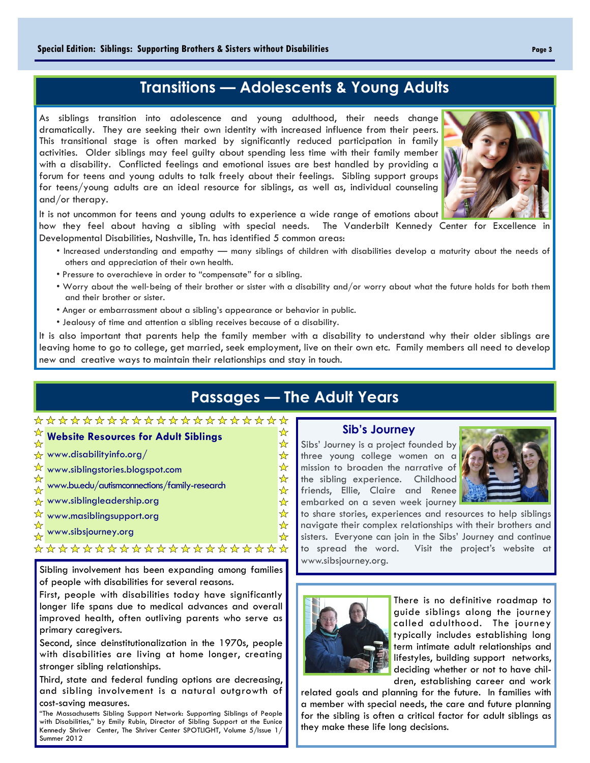### **Transitions — Adolescents & Young Adults**

As siblings transition into adolescence and young adulthood, their needs change dramatically. They are seeking their own identity with increased influence from their peers. This transitional stage is often marked by significantly reduced participation in family activities. Older siblings may feel guilty about spending less time with their family member with a disability. Conflicted feelings and emotional issues are best handled by providing a forum for teens and young adults to talk freely about their feelings. Sibling support groups for teens/young adults are an ideal resource for siblings, as well as, individual counseling and/or therapy.

It is not uncommon for teens and young adults to experience a wide range of emotions about

how they feel about having a sibling with special needs. The Vanderbilt Kennedy Center for Excellence in Developmental Disabilities, Nashville, Tn. has identified 5 common areas:

- Increased understanding and empathy many siblings of children with disabilities develop a maturity about the needs of others and appreciation of their own health.
- Pressure to overachieve in order to "compensate" for a sibling.
- Worry about the well‐being of their brother or sister with a disability and/or worry about what the future holds for both them and their brother or sister.
- Anger or embarrassment about a sibling's appearance or behavior in public.
- Jealousy of time and attention a sibling receives because of a disability.

It is also important that parents help the family member with a disability to understand why their older siblings are leaving home to go to college, get married, seek employment, live on their own etc. Family members all need to develop new and creative ways to maintain their relationships and stay in touch.

### **Passages — The Adult Years**

☆ ☆  $\frac{1}{\sqrt{2}}$  $\frac{1}{\sqrt{2}}$  $\frac{1}{\mathcal{N}}$ 

\*\*\*\*\*

☆

### \*\*\*\*\*\*\*\*\*\*\*\*\*\*\*\*\*\*\*\*\*

- **Website Resources for Adult Siblings**
- $\overline{\mathbf{x}}$  www.disabilityinfo.org/
- $\overleftrightarrow{\mathbf{x}}$  www.siblingstories.blogspot.com
- www.bu.edu/autismconnections/family-research  $\frac{1}{\mathcal{N}}$
- $\overline{\mathbf{x}}$  www.siblingleadership.org
- ☆ www.masiblingsupport.org
- [www.sibsjourney.org](#page-1-0)

# <del>☆☆☆☆☆☆☆☆☆☆☆☆☆☆☆☆☆☆☆☆</del>

Sibling involvement has been expanding among families of people with disabilities for several reasons.

First, people with disabilities today have significantly longer life spans due to medical advances and overall improved health, often outliving parents who serve as primary caregivers.

Second, since deinstitutionalization in the 1970s, people with disabilities are living at home longer, creating stronger sibling relationships.

Third, state and federal funding options are decreasing, and sibling involvement is a natural outgrowth of cost-saving measures.

"The Massachusetts Sibling Support Network: Supporting Siblings of People with Disabilities," by Emily Rubin, Director of Sibling Support at the Eunice Kennedy Shriver Center, The Shriver Center SPOTLIGHT, Volume 5/Issue 1/ Summer 2012

#### **Sib's Journey**

Sibs' Journey is a project founded by three young college women on a mission to broaden the narrative of the sibling experience. Childhood friends, Ellie, Claire and Renee embarked on a seven week journey



to share stories, experiences and resources to help siblings navigate their complex relationships with their brothers and sisters. Everyone can join in the Sibs' Journey and continue to spread the word. Visit the project's website at www.sibsjourney.org.



There is no definitive roadmap to guide siblings along the journey called adulthood. The journey typically includes establishing long term intimate adult relationships and lifestyles, building support networks, deciding whether or not to have children, establishing career and work

related goals and planning for the future. In families with a member with special needs, the care and future planning for the sibling is often a critical factor for adult siblings as they make these life long decisions.